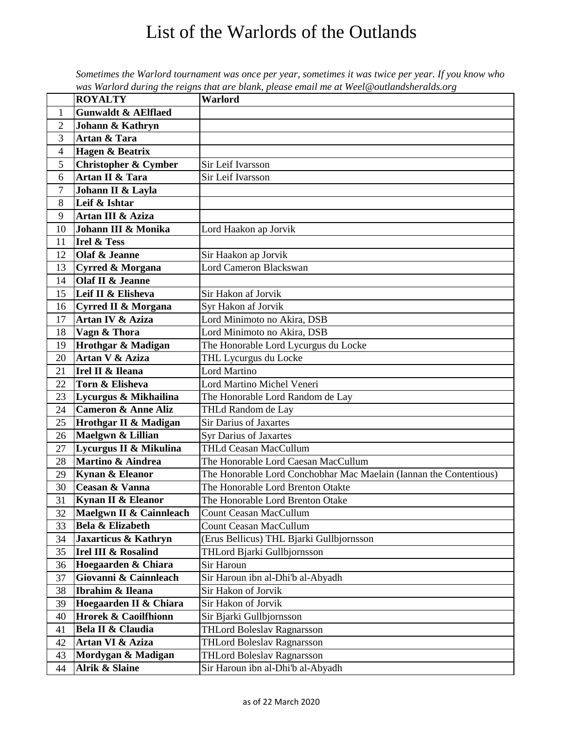## List of the Warlords of the Outlands

|                |                                 | was wariora auring ine reigns inal are blank, please email me at weel@outlanasheratas.org |
|----------------|---------------------------------|-------------------------------------------------------------------------------------------|
|                | <b>ROYALTY</b>                  | Warlord                                                                                   |
| $\mathbf{1}$   | <b>Gunwaldt &amp; AElflaed</b>  |                                                                                           |
| $\overline{2}$ | Johann & Kathryn                |                                                                                           |
| 3              | Artan & Tara                    |                                                                                           |
| $\overline{4}$ | <b>Hagen &amp; Beatrix</b>      |                                                                                           |
| 5              | <b>Christopher &amp; Cymber</b> | Sir Leif Ivarsson                                                                         |
| 6              | Artan II & Tara                 | Sir Leif Ivarsson                                                                         |
| 7              | Johann II & Layla               |                                                                                           |
| 8              | Leif & Ishtar                   |                                                                                           |
| 9              | Artan III & Aziza               |                                                                                           |
| 10             | Johann III & Monika             | Lord Haakon ap Jorvik                                                                     |
| 11             | <b>Irel &amp; Tess</b>          |                                                                                           |
| 12             | Olaf & Jeanne                   | Sir Haakon ap Jorvik                                                                      |
| 13             | <b>Cyrred &amp; Morgana</b>     | <b>Lord Cameron Blackswan</b>                                                             |
| 14             | Olaf II & Jeanne                |                                                                                           |
| 15             | Leif II & Elisheva              | Sir Hakon af Jorvik                                                                       |
| 16             | <b>Cyrred II &amp; Morgana</b>  | Syr Hakon af Jorvik                                                                       |
| 17             | Artan IV & Aziza                | Lord Minimoto no Akira, DSB                                                               |
| 18             | Vagn & Thora                    | Lord Minimoto no Akira, DSB                                                               |
| 19             | <b>Hrothgar &amp; Madigan</b>   | The Honorable Lord Lycurgus du Locke                                                      |
| 20             | Artan V & Aziza                 | THL Lycurgus du Locke                                                                     |
| 21             | Irel II & Ileana                | <b>Lord Martino</b>                                                                       |
| 22             | Torn & Elisheva                 | Lord Martino Michel Veneri                                                                |
| 23             | Lycurgus & Mikhailina           | The Honorable Lord Random de Lay                                                          |
| 24             | <b>Cameron &amp; Anne Aliz</b>  | THLd Random de Lay                                                                        |
| 25             | Hrothgar II & Madigan           | <b>Sir Darius of Jaxartes</b>                                                             |
| 26             | Maelgwn & Lillian               | <b>Syr Darius of Jaxartes</b>                                                             |
| 27             | Lycurgus II & Mikulina          | THLd Ceasan MacCullum                                                                     |
| 28             | <b>Martino &amp; Aindrea</b>    | The Honorable Lord Caesan MacCullum                                                       |
| 29             | Kynan & Eleanor                 | The Honorable Lord Conchobhar Mac Maelain (Iannan the Contentious)                        |
| 30             | Ceasan & Vanna                  | The Honorable Lord Brenton Otakte                                                         |
| 31             | Kynan II & Eleanor              | The Honorable Lord Brenton Otake                                                          |
| 32             | Maelgwn II & Cainnleach         | Count Ceasan MacCullum                                                                    |
| 33             | Bela & Elizabeth                | <b>Count Ceasan MacCullum</b>                                                             |
| 34             | Jaxarticus & Kathryn            | (Erus Bellicus) THL Bjarki Gullbjornsson                                                  |
| 35             | <b>Irel III &amp; Rosalind</b>  | THLord Bjarki Gullbjornsson                                                               |
| 36             | Hoegaarden & Chiara             | Sir Haroun                                                                                |
| 37             | Giovanni & Cainnleach           | Sir Haroun ibn al-Dhi'b al-Abyadh                                                         |
| 38             | Ibrahim & Ileana                | Sir Hakon of Jorvik                                                                       |
| 39             | Hoegaarden II & Chiara          | Sir Hakon of Jorvik                                                                       |
| 40             | <b>Hrorek &amp; Caoilfhionn</b> | Sir Bjarki Gullbjornsson                                                                  |
| 41             | Bela II & Claudia               | <b>THLord Boleslav Ragnarsson</b>                                                         |
| 42             | Artan VI & Aziza                | <b>THLord Boleslav Ragnarsson</b>                                                         |
| 43             | Mordygan & Madigan              | <b>THLord Boleslav Ragnarsson</b>                                                         |
| 44             | Alrik & Slaine                  | Sir Haroun ibn al-Dhi'b al-Abyadh                                                         |

*Sometimes the Warlord tournament was once per year, sometimes it was twice per year. If you know who was Warlord during the reigns that are blank, please email me at Weel@outlandsheralds.org*